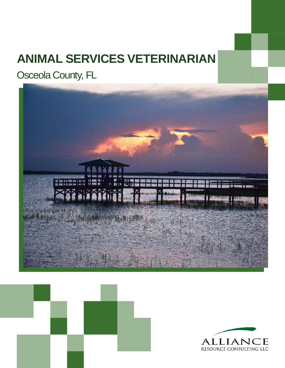# **ANIMAL SERVICES VETERINARIAN**

Osceola County, FL





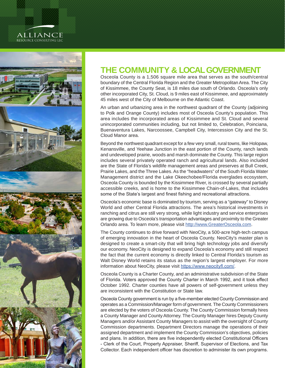### alliance RESOURCE CONSULTING LLC



## **THE COMMUNITY & LOCAL GOVERNMENT**

Osceola County is a 1,506 square mile area that serves as the south/central boundary of the Central Florida Region and the Greater Metropolitan Area. The City of Kissimmee, the County Seat, is 18 miles due south of Orlando. Osceola's only other incorporated City, St. Cloud, is 9 miles east of Kissimmee, and approximately 45 miles west of the City of Melbourne on the Atlantic Coast.

An urban and urbanizing area in the northwest quadrant of the County (adjoining to Polk and Orange County) includes most of Osceola County's population. This area includes the incorporated areas of Kissimmee and St. Cloud and several unincorporated communities including, but not limited to, Celebration, Poinciana, Buenaventura Lakes, Narcoossee, Campbell City, Intercession City and the St. Cloud Manor area.

Beyond the northwest quadrant except for a few very small, rural towns, like Holopaw, Kenansville, and Yeehaw Junction in the east portion of the County, ranch lands and undeveloped prairie, woods and marsh dominate the County. This large region includes several privately operated ranch and agricultural lands. Also included are the State of Florida's wildlife management areas and preserves at Bull Creek, Prairie Lakes, and the Three Lakes. As the "headwaters" of the South Florida Water Management district and the Lake Okeechobee/Florida everglades ecosystem, Osceola County is bounded by the Kissimmee River, is crossed by several partially accessible creeks, and is home to the Kissimmee Chain-of-Lakes, that includes some of the State's largest and finest fishing and recreational attractions.

Osceola's economic base is dominated by tourism, serving as a "gateway" to Disney World and other Central Florida attractions. The area's historical investments in ranching and citrus are still very strong, while light industry and service enterprises are growing due to Osceola's transportation advantages and proximity to the Greater Orlando area. To learn more, please visit [http://www.GreaterOsceola.com.](http://www.GreaterOsceola.com)

The County continues to drive forward with NeoCity, a 500-acre high-tech campus of emerging innovation in the heart of Osceola County. NeoCity's master plan is designed to create a smart-city that will bring high technology jobs and diversify our economy. NeoCity is designed to expand Osceola's economy and still respect the fact that the current economy is directly linked to Central Florida's tourism as Walt Disney World retains its status as the region's largest employer. For more information about NeoCity, please visit <https://www.neocityfl.com/>.

Osceola County is a Charter County, and an administrative subdivision of the State of Florida. Voters approved the County Charter in March 1992, and it took effect October 1992. Charter counties have all powers of self-government unless they are inconsistent with the Constitution or State law.

Osceola County government is run by a five-member elected County Commission and operates as a Commission/Manager form of government. The County Commissioners are elected by the voters of Osceola County. The County Commission formally hires a County Manager and County Attorney. The County Manager hires Deputy County Managers and/or Assistant County Managers to assist with the oversight of County Commission departments. Department Directors manage the operations of their assigned department and implement the County Commission's objectives, policies and plans. In addition, there are five independently elected Constitutional Officers - Clerk of the Court, Property Appraiser, Sheriff, Supervisor of Elections, and Tax Collector. Each independent officer has discretion to administer its own programs.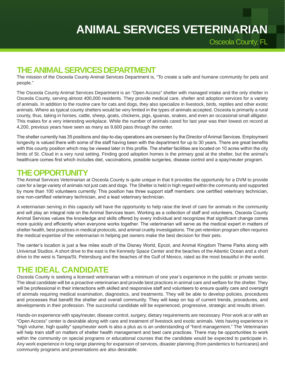Osceola County, FL

### **THE ANIMAL SERVICES DEPARTMENT**

The mission of the Osceola County Animal Services Department is, "To create a safe and humane community for pets and people."

The Osceola County Animal Services Department is an "Open Access" shelter with managed intake and the only shelter in Osceola County, serving almost 400,000 residents. They provide medical care, shelter and adoption services for a variety of animals. In addition to the routine care for cats and dogs, they also specialize in livestock, birds, reptiles and other exotic animals. Where as typical county shelters would be very limited in the types of animals accepted, Osceola is primarily a rural county, thus, taking in horses, cattle, sheep, goats, chickens, pigs, iguanas, snakes, and even an occasional small alligator. This makes for a very interesting workplace. While the number of animals cared for last year was their lowest on record at 4,200, previous years have seen as many as 9,600 pass through the center.

The shelter currently has 35 positions and day-to-day operations are overseen by the Director of Animal Services. Employment longevity is valued there with some of the staff having been with the department for up to 30 years. There are great benefits with this county position which may be viewed later in this profile. The shelter facilities are located on 10 acres within the city limits of St. Cloud in a very rural setting. Finding good adoption homes is the primary goal at the shelter, but the animal's healthcare comes first which includes diet, vaccinations, possible surgeries, disease control and a spay/neuter program.

### **THE OPPORTUNITY**

The Animal Services Veterinarian at Osceola County is quite unique in that it provides the opportunity for a DVM to provide care for a large variety of animals not just cats and dogs. The Shelter is held in high regard within the community and supported by more than 100 volunteers currently. This position has three support staff members: one certified veterinary technician, one non-certified veterinary technician, and a lead veterinary technician.

A veterinarian serving in this capacity will have the opportunity to help raise the level of care for animals in the community and will play an integral role on the Animal Services team. Working as a collection of staff and volunteers, Osceola County Animal Services values the knowledge and skills offered by every individual and recognizes that significant change comes more quickly and efficiently when everyone works together. The veterinarian will serve as the medical expert in matters of shelter health, best practices in medical protocols, and animal cruelty investigations. The pet retention program often requires the medical expertise of the veterinarian in helping pet owners make the best decision for their pets.

The center's location is just a few miles south of the Disney World, Epcot, and Animal Kingdom Theme Parks along with Universal Studios. A short drive to the east is the Kennedy Space Center and the beaches of the Atlantic Ocean and a short drive to the west is Tampa/St. Petersburg and the beaches of the Gulf of Mexico, rated as the most beautiful in the world.

### **THE IDEAL CANDIDATE**

Osceola County is seeking a licensed veterinarian with a minimum of one year's experience in the public or private sector. The ideal candidate will be a proactive veterinarian and provide best practices in animal care and welfare for the shelter. They will be professional in their interactions with skilled and responsive staff and volunteers to ensure quality care and oversight of animals requiring medical examination, diagnostics, and treatments. They will be able to develop policies, procedures and processes that benefit the shelter and overall community. They will keep on top of current trends, procedures, and developments in their profession. The successful candidate will be experienced, progressive, strategic and results driven.

Hands-on experience with spay/neuter, disease control, surgery, dietary requirements are necessary. Prior work at or with an "Open Access" center is desirable along with care and treatment of livestock and exotic animals. Vets having experience in "high volume, high quality" spay/neuter work is also a plus as is an understanding of "herd management." The Veterinarian will help train staff on matters of shelter health management and best care practices. There may be opportunities to work within the community on special programs or educational courses that the candidate would be expected to participate in. Any work experience in long range planning for expansion of services, disaster planning (from pandemics to hurricanes) and community programs and presentations are also desirable.